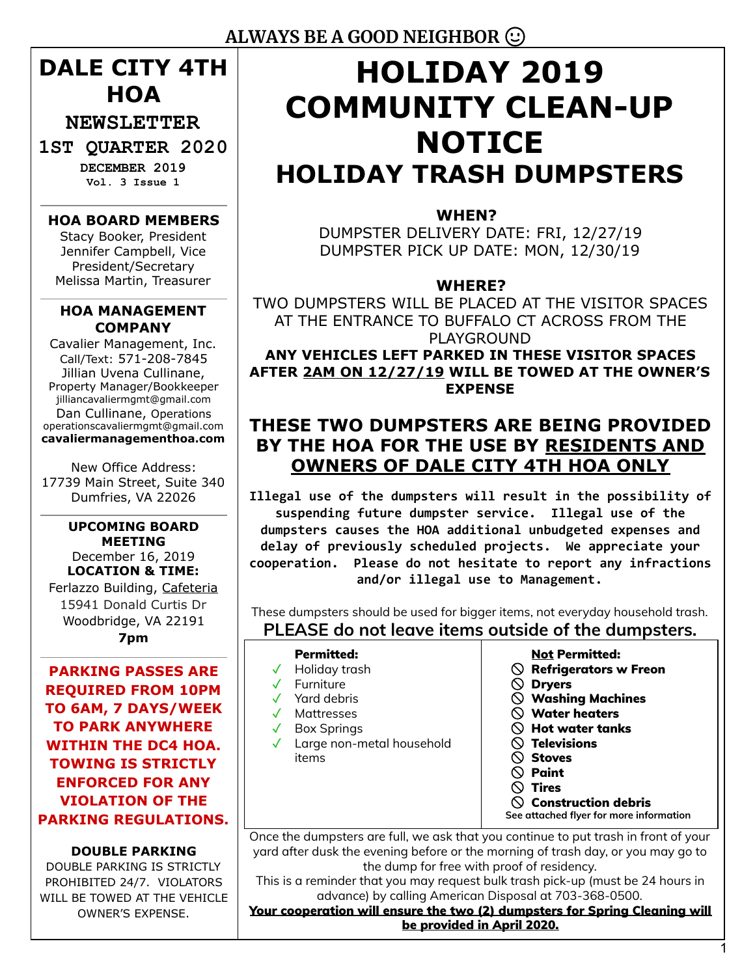## **DALE CITY 4TH HOA**

**NEWSLETTER** 

## **1ST QUARTER 2020**

**DECEMBER 2019 Vol. 3 Issue 1** 

#### **HOA BOARD MEMBERS**

Stacy Booker, President Jennifer Campbell, Vice President/Secretary Melissa Martin, Treasurer

#### **HOA MANAGEMENT COMPANY**

Cavalier Management, Inc. Call/Text: 571-208-7845 Jillian Uvena Cullinane, Property Manager/Bookkeeper jilliancavaliermgmt@gmail.com Dan Cullinane, Operations operationscavaliermgmt@gmail.com **cavaliermanagementhoa.com** 

New Office Address: 17739 Main Street, Suite 340 Dumfries, VA 22026

#### **UPCOMING BOARD MEETING** December 16, 2019 **LOCATION & TIME:** Ferlazzo Building, Cafeteria 15941 Donald Curtis Dr Woodbridge, VA 22191 **7pm**

**PARKING PASSES ARE REQUIRED FROM 10PM TO 6AM, 7 DAYS/WEEK TO PARK ANYWHERE WITHIN THE DC4 HOA. TOWING IS STRICTLY ENFORCED FOR ANY VIOLATION OF THE PARKING REGULATIONS.**

**DOUBLE PARKING** DOUBLE PARKING IS STRICTLY PROHIBITED 24/7. VIOLATORS WILL BE TOWED AT THE VEHICLE OWNER'S EXPENSE.

# **HOLIDAY 2019 COMMUNITY CLEAN-UP NOTICE HOLIDAY TRASH DUMPSTERS**

#### **WHEN?**

DUMPSTER DELIVERY DATE: FRI, 12/27/19 DUMPSTER PICK UP DATE: MON, 12/30/19

#### **WHERE?**

TWO DUMPSTERS WILL BE PLACED AT THE VISITOR SPACES AT THE ENTRANCE TO BUFFALO CT ACROSS FROM THE PLAYGROUND **ANY VEHICLES LEFT PARKED IN THESE VISITOR SPACES**

**AFTER 2AM ON 12/27/19 WILL BE TOWED AT THE OWNER'S EXPENSE**

## **THESE TWO DUMPSTERS ARE BEING PROVIDED BY THE HOA FOR THE USE BY RESIDENTS AND OWNERS OF DALE CITY 4TH HOA ONLY**

**Illegal use of the dumpsters will result in the possibility of suspending future dumpster service. Illegal use of the dumpsters causes the HOA additional unbudgeted expenses and delay of previously scheduled projects. We appreciate your cooperation. Please do not hesitate to report any infractions and/or illegal use to Management.**

These dumpsters should be used for bigger items, not everyday household trash.

## **PLEASE do not leave items outside of the dumpsters.**

| <b>Permitted:</b><br>Holiday trash<br>Furniture<br>Yard debris<br>Mattresses<br><b>Box Springs</b><br>Large non-metal household<br>items | <b>Not Permitted:</b><br><b>Refrigerators w Freon</b><br><b>Dryers</b><br>$\oslash$ Washing Machines<br>$\mathcal Y$ Water heaters<br>$\heartsuit$ Hot water tanks<br>$\heartsuit$ Televisions<br><b>Stoves</b><br>Paint<br><b>Tires</b> |
|------------------------------------------------------------------------------------------------------------------------------------------|------------------------------------------------------------------------------------------------------------------------------------------------------------------------------------------------------------------------------------------|
|                                                                                                                                          | <b>Construction debris</b><br>See attached flyer for more information                                                                                                                                                                    |

Once the dumpsters are full, we ask that you continue to put trash in front of your yard after dusk the evening before or the morning of trash day, or you may go to the dump for free with proof of residency.

This is a reminder that you may request bulk trash pick-up (must be 24 hours in advance) by calling American Disposal at 703-368-0500.

#### Your cooperation will ensure the two (2) dumpsters for Spring Cleaning will be provided in April 2020.